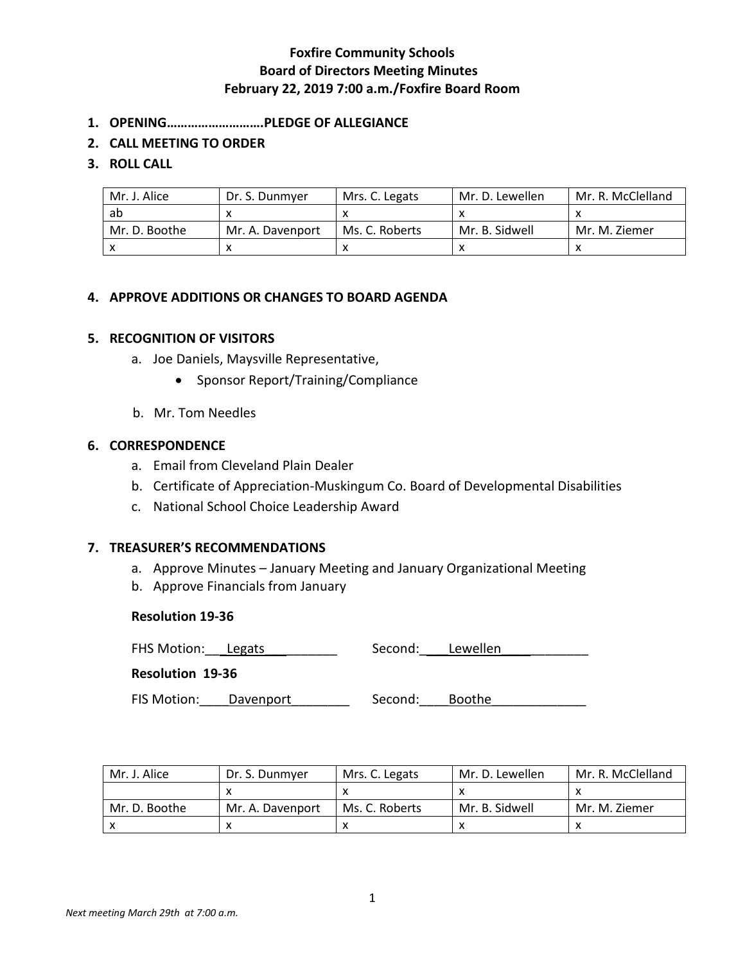- **1. OPENING……………………….PLEDGE OF ALLEGIANCE**
- **2. CALL MEETING TO ORDER**

### **3. ROLL CALL**

| Mr. J. Alice  | Dr. S. Dunmyer   | Mrs. C. Legats | Mr. D. Lewellen | Mr. R. McClelland |
|---------------|------------------|----------------|-----------------|-------------------|
| ab            |                  |                |                 |                   |
| Mr. D. Boothe | Mr. A. Davenport | Ms. C. Roberts | Mr. B. Sidwell  | Mr. M. Ziemer     |
|               |                  |                |                 |                   |

## **4. APPROVE ADDITIONS OR CHANGES TO BOARD AGENDA**

#### **5. RECOGNITION OF VISITORS**

- a. Joe Daniels, Maysville Representative,
	- Sponsor Report/Training/Compliance
- b. Mr. Tom Needles

### **6. CORRESPONDENCE**

- a. Email from Cleveland Plain Dealer
- b. Certificate of Appreciation-Muskingum Co. Board of Developmental Disabilities
- c. National School Choice Leadership Award

#### **7. TREASURER'S RECOMMENDATIONS**

- a. Approve Minutes January Meeting and January Organizational Meeting
- b. Approve Financials from January

#### **Resolution 19-36**

FHS Motion: Legats Lattice Coronal: Lewellen

**Resolution 19-36**

FIS Motion: \_\_\_\_Davenport \_\_\_\_\_\_\_\_\_\_\_\_\_\_ Second: \_\_\_\_Boothe \_\_\_\_\_\_\_\_\_\_\_\_\_\_\_\_\_\_\_\_

| Mr. J. Alice  | Dr. S. Dunmver   | Mrs. C. Legats | Mr. D. Lewellen | Mr. R. McClelland |
|---------------|------------------|----------------|-----------------|-------------------|
|               |                  |                |                 |                   |
| Mr. D. Boothe | Mr. A. Davenport | Ms. C. Roberts | Mr. B. Sidwell  | Mr. M. Ziemer     |
|               |                  |                |                 |                   |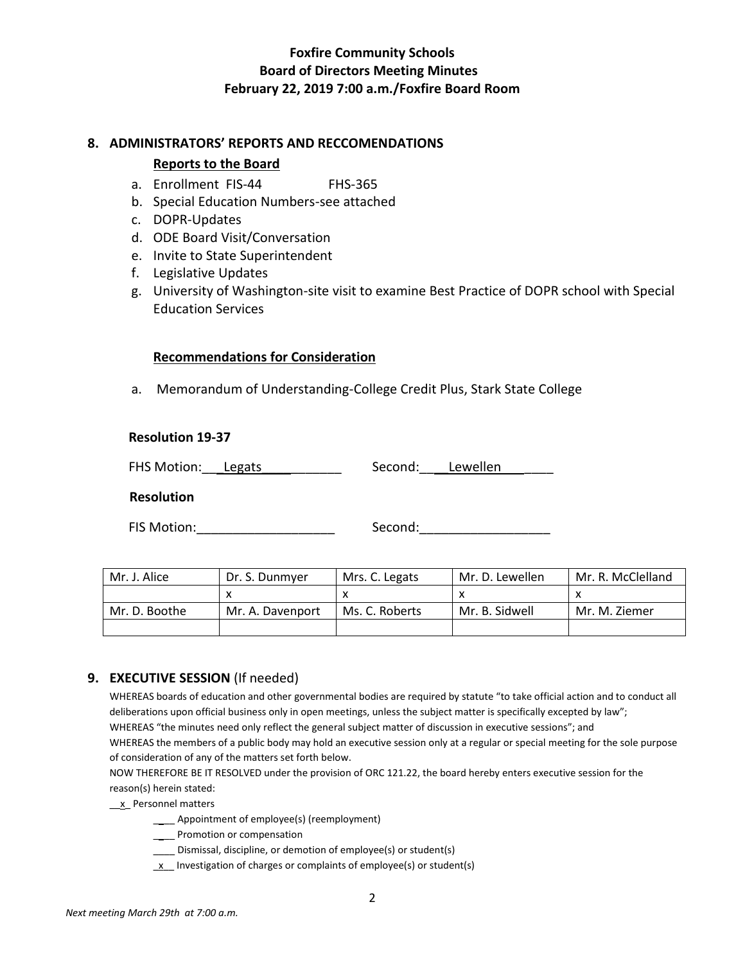### **8. ADMINISTRATORS' REPORTS AND RECCOMENDATIONS**

## **Reports to the Board**

- a. Enrollment FIS-44 FHS-365
- b. Special Education Numbers-see attached
- c. DOPR-Updates
- d. ODE Board Visit/Conversation
- e. Invite to State Superintendent
- f. Legislative Updates
- g. University of Washington-site visit to examine Best Practice of DOPR school with Special Education Services

## **Recommendations for Consideration**

a. Memorandum of Understanding-College Credit Plus, Stark State College

## **Resolution 19-37**

| FHS Motion: Legats | Second: | Lewellen |
|--------------------|---------|----------|
|--------------------|---------|----------|

**Resolution** 

FIS Motion:\_\_\_\_\_\_\_\_\_\_\_\_\_\_\_\_\_\_\_ Second:\_\_\_\_\_\_\_\_\_\_\_\_\_\_\_\_\_\_

| Mr. J. Alice  | Dr. S. Dunmyer   | Mrs. C. Legats | Mr. D. Lewellen | Mr. R. McClelland |
|---------------|------------------|----------------|-----------------|-------------------|
|               |                  |                |                 |                   |
| Mr. D. Boothe | Mr. A. Davenport | Ms. C. Roberts | Mr. B. Sidwell  | Mr. M. Ziemer     |
|               |                  |                |                 |                   |

# **9. EXECUTIVE SESSION** (If needed)

WHEREAS boards of education and other governmental bodies are required by statute "to take official action and to conduct all deliberations upon official business only in open meetings, unless the subject matter is specifically excepted by law"; WHEREAS "the minutes need only reflect the general subject matter of discussion in executive sessions"; and WHEREAS the members of a public body may hold an executive session only at a regular or special meeting for the sole purpose of consideration of any of the matters set forth below.

NOW THEREFORE BE IT RESOLVED under the provision of ORC 121.22, the board hereby enters executive session for the reason(s) herein stated:

\_\_x\_ Personnel matters

- \_\_\_\_ Appointment of employee(s) (reemployment)
- \_\_\_\_ Promotion or compensation
- \_\_\_\_ Dismissal, discipline, or demotion of employee(s) or student(s)
- $\underline{x}$  Investigation of charges or complaints of employee(s) or student(s)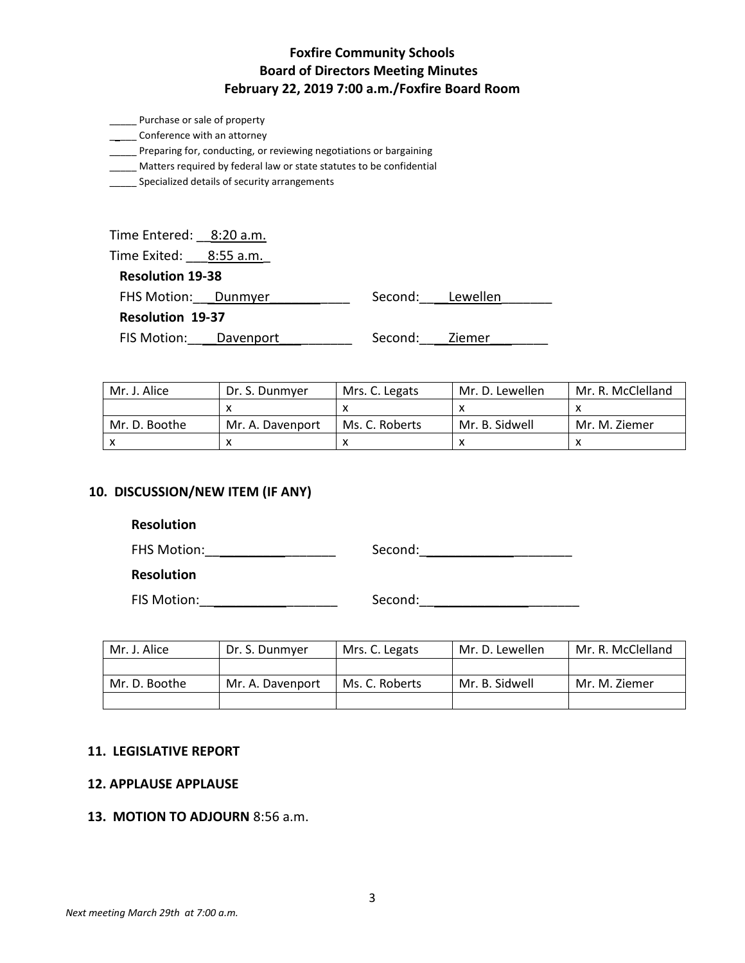- \_\_\_\_\_\_ Conference with an attorney
- \_\_\_\_\_ Preparing for, conducting, or reviewing negotiations or bargaining
- \_\_\_\_\_ Matters required by federal law or state statutes to be confidential
- **\_\_\_\_\_\_** Specialized details of security arrangements

| Time Entered: 8:20 a.m. |                  |  |
|-------------------------|------------------|--|
| Time Exited: 8:55 a.m.  |                  |  |
| <b>Resolution 19-38</b> |                  |  |
| FHS Motion: Dunmyer     | Second: Lewellen |  |
|                         |                  |  |

**Resolution 19-37**

FIS Motion: Davenport \_\_\_\_\_\_\_\_\_\_ Second: Ziemer

| Mr. J. Alice  | Dr. S. Dunmyer   | Mrs. C. Legats | Mr. D. Lewellen | Mr. R. McClelland |
|---------------|------------------|----------------|-----------------|-------------------|
|               |                  |                |                 |                   |
| Mr. D. Boothe | Mr. A. Davenport | Ms. C. Roberts | Mr. B. Sidwell  | Mr. M. Ziemer     |
|               |                  |                |                 |                   |

## **10. DISCUSSION/NEW ITEM (IF ANY)**

### **Resolution**

FHS Motion:\_\_\_\_\_\_\_\_\_\_\_\_\_\_\_\_\_\_ Second:\_\_\_\_\_\_\_\_\_\_\_\_\_\_\_\_\_\_\_\_\_

**Resolution**

FIS Motion:\_\_\_\_\_\_\_\_\_\_\_\_\_\_\_\_\_\_\_ Second:\_\_\_\_\_\_\_\_\_\_\_\_\_\_\_\_\_\_\_\_\_\_

| Mr. J. Alice  | Dr. S. Dunmyer   | Mrs. C. Legats | Mr. D. Lewellen | Mr. R. McClelland |
|---------------|------------------|----------------|-----------------|-------------------|
|               |                  |                |                 |                   |
| Mr. D. Boothe | Mr. A. Davenport | Ms. C. Roberts | Mr. B. Sidwell  | Mr. M. Ziemer     |
|               |                  |                |                 |                   |

#### **11. LEGISLATIVE REPORT**

#### **12. APPLAUSE APPLAUSE**

## **13. MOTION TO ADJOURN** 8:56 a.m.